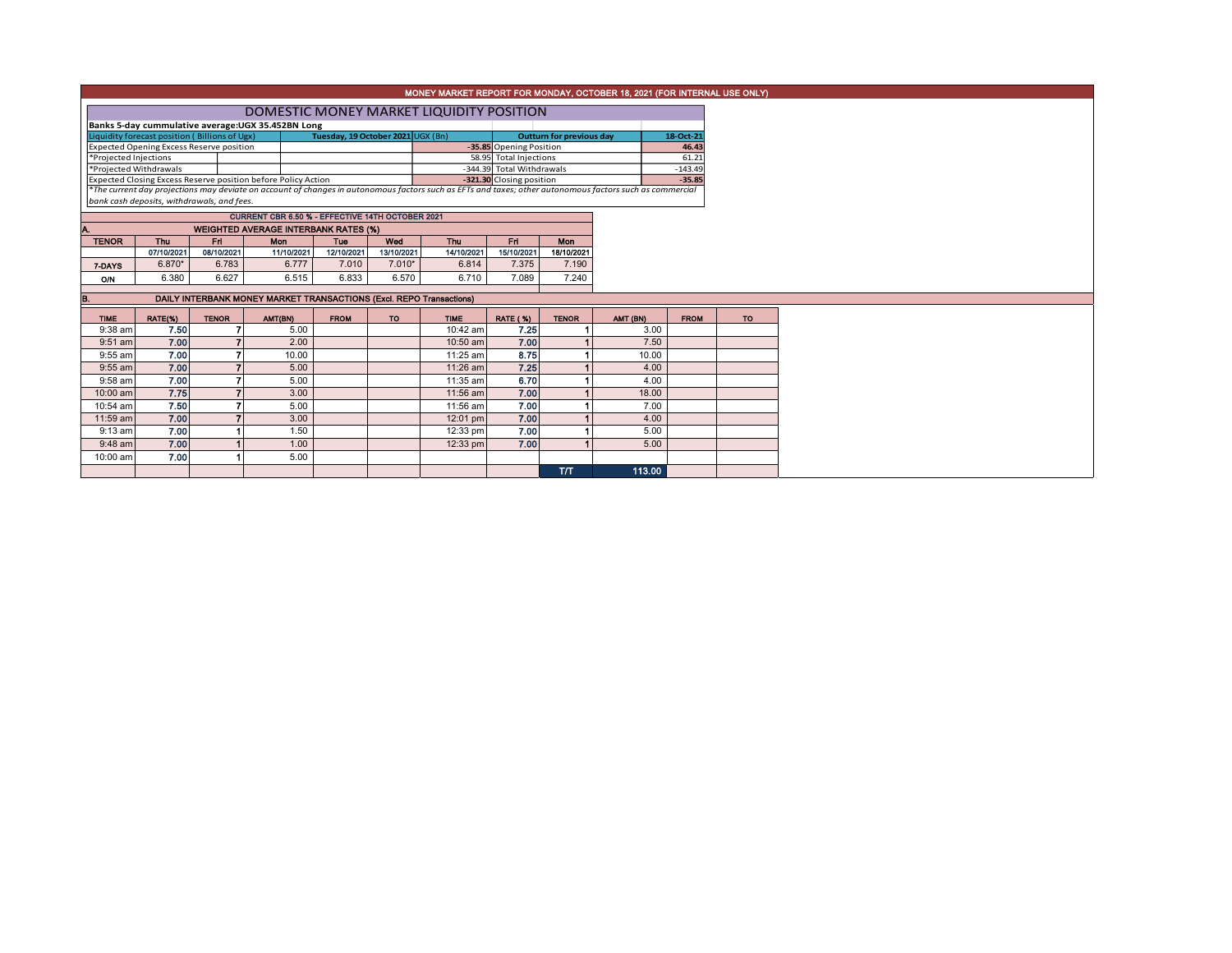| MONEY MARKET REPORT FOR MONDAY, OCTOBER 18, 2021 (FOR INTERNAL USE ONLY)                                                                                                                               |                                 |              |                                                               |             |            |                                          |                           |              |          |             |  |  |  |  |  |
|--------------------------------------------------------------------------------------------------------------------------------------------------------------------------------------------------------|---------------------------------|--------------|---------------------------------------------------------------|-------------|------------|------------------------------------------|---------------------------|--------------|----------|-------------|--|--|--|--|--|
|                                                                                                                                                                                                        |                                 |              |                                                               |             |            | DOMESTIC MONEY MARKET LIQUIDITY POSITION |                           |              |          |             |  |  |  |  |  |
|                                                                                                                                                                                                        |                                 |              | Banks 5-day cummulative average: UGX 35.452BN Long            |             |            |                                          |                           |              |          |             |  |  |  |  |  |
| Liquidity forecast position (Billions of Ugx)                                                                                                                                                          | <b>Outturn for previous day</b> | 18-Oct-21    |                                                               |             |            |                                          |                           |              |          |             |  |  |  |  |  |
| Expected Opening Excess Reserve position<br>-35.85 Opening Position                                                                                                                                    |                                 |              |                                                               |             |            |                                          |                           |              |          | 46.43       |  |  |  |  |  |
| *Projected Injections                                                                                                                                                                                  |                                 |              |                                                               |             |            |                                          | 58.95 Total Injections    |              |          | 61.21       |  |  |  |  |  |
| *Projected Withdrawals                                                                                                                                                                                 |                                 |              |                                                               |             |            |                                          | -344.39 Total Withdrawals |              |          | $-143.49$   |  |  |  |  |  |
|                                                                                                                                                                                                        |                                 |              | Expected Closing Excess Reserve position before Policy Action |             |            |                                          | -321.30 Closing position  |              |          | $-35.85$    |  |  |  |  |  |
| *The current day projections may deviate on account of changes in autonomous factors such as EFTs and taxes; other autonomous factors such as commercial<br>bank cash deposits, withdrawals, and fees. |                                 |              |                                                               |             |            |                                          |                           |              |          |             |  |  |  |  |  |
|                                                                                                                                                                                                        |                                 |              | CURRENT CBR 6.50 % - EFFECTIVE 14TH OCTOBER 2021              |             |            |                                          |                           |              |          |             |  |  |  |  |  |
|                                                                                                                                                                                                        |                                 |              | <b>WEIGHTED AVERAGE INTERBANK RATES (%)</b>                   |             |            |                                          |                           |              |          |             |  |  |  |  |  |
| <b>TENOR</b>                                                                                                                                                                                           | Thu                             | Fri          | Mon                                                           | Tue         | Wed        | <b>Thu</b>                               | Fn.                       | Mon          |          |             |  |  |  |  |  |
|                                                                                                                                                                                                        | 07/10/2021                      | 08/10/2021   | 11/10/2021                                                    | 12/10/2021  | 13/10/2021 | 14/10/2021                               | 15/10/2021                | 18/10/2021   |          |             |  |  |  |  |  |
| 7-DAYS                                                                                                                                                                                                 | 6.870*                          | 6.783        | 6.777                                                         | 7.010       | 7.010*     | 6.814                                    | 7.375                     | 7.190        |          |             |  |  |  |  |  |
| O/N                                                                                                                                                                                                    | 6.380                           | 6.627        | 6.515                                                         | 6.833       | 6.570      | 6.710                                    | 7.089                     | 7.240        |          |             |  |  |  |  |  |
|                                                                                                                                                                                                        |                                 |              |                                                               |             |            |                                          |                           |              |          |             |  |  |  |  |  |
| DAILY INTERBANK MONEY MARKET TRANSACTIONS (Excl. REPO Transactions)                                                                                                                                    |                                 |              |                                                               |             |            |                                          |                           |              |          |             |  |  |  |  |  |
| <b>TIME</b>                                                                                                                                                                                            | RATE(%)                         | <b>TENOR</b> | AMT(BN)                                                       | <b>FROM</b> | <b>TO</b>  | <b>TIME</b>                              | <b>RATE (%)</b>           | <b>TENOR</b> | AMT (BN) | <b>FROM</b> |  |  |  |  |  |
| $9:38$ am                                                                                                                                                                                              | 7.50                            |              | 5.00                                                          |             |            | 10:42 am                                 | 7.25                      |              | 3.00     |             |  |  |  |  |  |
| $9:51$ am                                                                                                                                                                                              | 7.00                            |              | 2.00                                                          |             |            | 10:50 am                                 | 7.00                      |              | 7.50     |             |  |  |  |  |  |
| $9:55$ am                                                                                                                                                                                              | 7.00                            |              | 10.00                                                         |             |            | 11:25 am                                 | 8.75                      |              | 10.00    |             |  |  |  |  |  |
| $9:55$ am                                                                                                                                                                                              | 7.00                            |              | 5.00                                                          |             |            | 11:26 am                                 | 7.25                      |              | 4.00     |             |  |  |  |  |  |
| 9:58 am                                                                                                                                                                                                | 7.00                            |              | 5.00                                                          |             |            | 11:35 am                                 | 6.70                      |              | 4.00     |             |  |  |  |  |  |
| 10:00 am                                                                                                                                                                                               | 7.75                            |              | 3.00                                                          |             |            | 11:56 am                                 | 7.00                      |              | 18.00    |             |  |  |  |  |  |
| 10:54 am                                                                                                                                                                                               | 7.50                            |              | 5.00                                                          |             |            | 11:56 am                                 | 7.00                      |              | 7.00     |             |  |  |  |  |  |
| 11:59 am                                                                                                                                                                                               | 7.00                            |              | 3.00                                                          |             |            | 12:01 pm                                 | 7.00                      |              | 4.00     |             |  |  |  |  |  |
| $9:13$ am                                                                                                                                                                                              | 7.00                            |              | 1.50                                                          |             |            | 12:33 pm                                 | 7.00                      |              | 5.00     |             |  |  |  |  |  |
|                                                                                                                                                                                                        |                                 |              |                                                               |             |            |                                          |                           |              |          |             |  |  |  |  |  |
|                                                                                                                                                                                                        |                                 |              |                                                               |             |            |                                          |                           |              |          |             |  |  |  |  |  |
| $9:48$ am                                                                                                                                                                                              | 7.00                            |              | 1.00                                                          |             |            | 12:33 pm                                 | 7.00                      |              | 5.00     |             |  |  |  |  |  |
| 10:00 am                                                                                                                                                                                               | 7.00                            |              | 5.00                                                          |             |            |                                          |                           | TЛ           | 113.00   |             |  |  |  |  |  |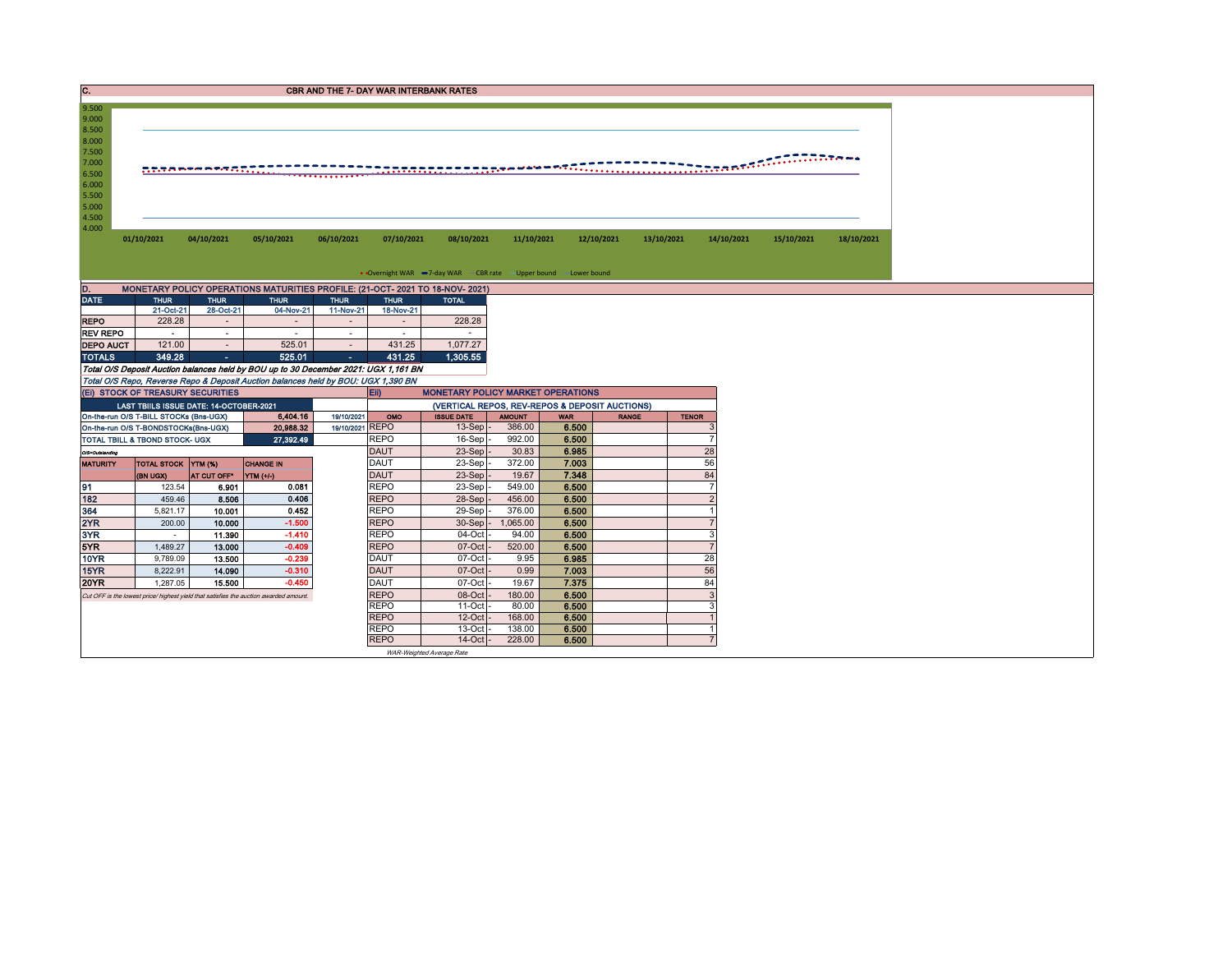| c.                                  |                                        |                                         |                                                                                       | <b>CBR AND THE 7- DAY WAR INTERBANK RATES</b> |                            |                                                                   |                  |                                                |              |              |                     |            |            |
|-------------------------------------|----------------------------------------|-----------------------------------------|---------------------------------------------------------------------------------------|-----------------------------------------------|----------------------------|-------------------------------------------------------------------|------------------|------------------------------------------------|--------------|--------------|---------------------|------------|------------|
| 9.500                               |                                        |                                         |                                                                                       |                                               |                            |                                                                   |                  |                                                |              |              |                     |            |            |
| 9.000                               |                                        |                                         |                                                                                       |                                               |                            |                                                                   |                  |                                                |              |              |                     |            |            |
| 8.500                               |                                        |                                         |                                                                                       |                                               |                            |                                                                   |                  |                                                |              |              |                     |            |            |
| 8.000                               |                                        |                                         |                                                                                       |                                               |                            |                                                                   |                  |                                                |              |              |                     |            |            |
| 7.500<br>7.000                      |                                        |                                         |                                                                                       |                                               |                            |                                                                   |                  |                                                |              |              |                     |            |            |
| 6.500                               |                                        |                                         |                                                                                       |                                               |                            |                                                                   |                  |                                                |              |              |                     |            |            |
| 6.000                               |                                        |                                         |                                                                                       |                                               |                            |                                                                   |                  |                                                |              |              |                     |            |            |
| 5.500                               |                                        |                                         |                                                                                       |                                               |                            |                                                                   |                  |                                                |              |              |                     |            |            |
| 5.000                               |                                        |                                         |                                                                                       |                                               |                            |                                                                   |                  |                                                |              |              |                     |            |            |
| 4.500                               |                                        |                                         |                                                                                       |                                               |                            |                                                                   |                  |                                                |              |              |                     |            |            |
| 4.000                               | 01/10/2021                             | 04/10/2021                              | 05/10/2021                                                                            | 06/10/2021                                    | 07/10/2021                 | 08/10/2021                                                        | 11/10/2021       |                                                | 12/10/2021   | 13/10/2021   | 14/10/2021          | 15/10/2021 | 18/10/2021 |
|                                     |                                        |                                         |                                                                                       |                                               |                            |                                                                   |                  |                                                |              |              |                     |            |            |
|                                     |                                        |                                         |                                                                                       |                                               |                            |                                                                   |                  |                                                |              |              |                     |            |            |
|                                     |                                        |                                         |                                                                                       |                                               |                            | • Overnight WAR -7-day WAR - CBR rate - Upper bound - Lower bound |                  |                                                |              |              |                     |            |            |
| D.                                  |                                        |                                         | MONETARY POLICY OPERATIONS MATURITIES PROFILE: (21-OCT- 2021 TO 18-NOV- 2021)         |                                               |                            |                                                                   |                  |                                                |              |              |                     |            |            |
| <b>DATE</b>                         | <b>THUR</b>                            | <b>THUR</b>                             | <b>THUR</b>                                                                           | <b>THUR</b>                                   | <b>THUR</b>                | <b>TOTAL</b>                                                      |                  |                                                |              |              |                     |            |            |
|                                     | 21-Oct-21                              | 28-Oct-21                               | 04-Nov-21                                                                             | 11-Nov-21                                     | 18-Nov-21                  |                                                                   |                  |                                                |              |              |                     |            |            |
| <b>REPO</b>                         | 228.28                                 | $\sim$                                  | $\sim$                                                                                | . п.                                          | $\sim$<br>$\sim$           | 228.28<br>$\sim$                                                  |                  |                                                |              |              |                     |            |            |
| <b>REV REPO</b><br><b>DEPO AUCT</b> | $\sim$<br>121.00                       | $\sim$                                  | $\sim$<br>525.01                                                                      | $\sim$                                        | 431.25                     | 1,077.27                                                          |                  |                                                |              |              |                     |            |            |
| <b>TOTALS</b>                       | 349.28                                 | $\sim$<br>m.                            | 525.01                                                                                | $\sim$                                        | 431.25                     | 1.305.55                                                          |                  |                                                |              |              |                     |            |            |
|                                     |                                        |                                         | Total O/S Deposit Auction balances held by BOU up to 30 December 2021: UGX 1,161 BN   |                                               |                            |                                                                   |                  |                                                |              |              |                     |            |            |
|                                     |                                        |                                         | Total O/S Repo, Reverse Repo & Deposit Auction balances held by BOU: UGX 1,390 BN     |                                               |                            |                                                                   |                  |                                                |              |              |                     |            |            |
|                                     | (EI) STOCK OF TREASURY SECURITIES      |                                         |                                                                                       |                                               | Eii)                       | <b>MONETARY POLICY MARKET OPERATIONS</b>                          |                  |                                                |              |              |                     |            |            |
|                                     |                                        | LAST TBIILS ISSUE DATE: 14-OCTOBER-2021 |                                                                                       |                                               |                            |                                                                   |                  | (VERTICAL REPOS, REV-REPOS & DEPOSIT AUCTIONS) |              |              |                     |            |            |
|                                     | On-the-run O/S T-BILL STOCKs (Bns-UGX) |                                         | 6,404.16                                                                              | 19/10/2021                                    | OMO                        | <b>ISSUE DATE</b>                                                 | <b>AMOUNT</b>    | <b>WAR</b>                                     | <b>RANGE</b> | <b>TENOR</b> |                     |            |            |
|                                     | On-the-run O/S T-BONDSTOCKs(Bns-UGX)   |                                         | 20,988.32                                                                             | 19/10/2021 REPO                               |                            | 13-Sep                                                            | 386.00           | 6.500                                          |              |              | 3                   |            |            |
|                                     | TOTAL TBILL & TBOND STOCK- UGX         |                                         | 27,392.49                                                                             |                                               | <b>REPO</b>                | 16-Sep                                                            | 992.00           | 6.500                                          |              |              | $\overline{7}$      |            |            |
| O/S=Outstanding                     |                                        |                                         |                                                                                       |                                               | <b>DAUT</b><br><b>DAUT</b> | 23-Sep<br>23-Sep                                                  | 30.83<br>372.00  | 6.985<br>7.003                                 |              |              | 28<br>56            |            |            |
| <b>MATURITY</b>                     | TOTAL STOCK YTM (%)<br>(BN UGX)        | AT CUT OFF <sup>®</sup>                 | <b>CHANGE IN</b><br>$YTM (+/-)$                                                       |                                               | <b>DAUT</b>                | $23-Sep$                                                          | 19.67            | 7.348                                          |              |              | 84                  |            |            |
| 91                                  | 123.54                                 | 6.901                                   | 0.081                                                                                 |                                               | <b>REPO</b>                | $23-Sep$                                                          | 549.00           | 6.500                                          |              |              | $\overline{7}$      |            |            |
| 182                                 | 459.46                                 | 8.506                                   | 0.406                                                                                 |                                               | <b>REPO</b>                | $28-Sep$                                                          | 456.00           | 6.500                                          |              |              | $\overline{2}$      |            |            |
| 364                                 | 5,821.17                               | 10.001                                  | 0.452                                                                                 |                                               | <b>REPO</b>                | $29-Sep$                                                          | 376.00           | 6.500                                          |              |              | $\overline{1}$      |            |            |
| 2YR                                 | 200.00                                 | 10.000                                  | $-1.500$                                                                              |                                               | <b>REPO</b>                | 30-Sep                                                            | 1,065.00         | 6.500                                          |              |              | $\overline{7}$      |            |            |
| 3YR                                 | $\sim$                                 | 11.390                                  | $-1.410$                                                                              |                                               | <b>REPO</b>                | 04-Oct                                                            | 94.00            | 6.500                                          |              |              | 3                   |            |            |
| 5YR                                 | 1,489.27                               | 13.000                                  | $-0.409$                                                                              |                                               | <b>REPO</b>                | 07-Oct                                                            | 520.00           | 6.500                                          |              |              | $\overline{7}$      |            |            |
| 10YR                                | 9,789.09                               | 13.500                                  | $-0.239$                                                                              |                                               | <b>DAUT</b>                | 07-Oct                                                            | 9.95             | 6.985                                          |              |              | 28                  |            |            |
| 15YR                                | 8,222.91                               | 14.090                                  | $-0.310$                                                                              |                                               | <b>DAUT</b>                | 07-Oct                                                            | 0.99             | 7.003                                          |              |              | 56                  |            |            |
| <b>20YR</b>                         | 1,287.05                               | 15.500                                  | $-0.450$                                                                              |                                               | <b>DAUT</b>                | 07-Oct                                                            | 19.67            | 7.375                                          |              |              | 84                  |            |            |
|                                     |                                        |                                         | Cut OFF is the lowest price/ highest yield that satisfies the auction awarded amount. |                                               | <b>REPO</b>                | 08-Oct                                                            | 180.00           | 6.500                                          |              |              | 3                   |            |            |
|                                     |                                        |                                         |                                                                                       |                                               | <b>REPO</b>                | $11-Oct$                                                          | 80.00            | 6.500                                          |              |              | З                   |            |            |
|                                     |                                        |                                         |                                                                                       |                                               | <b>REPO</b><br><b>REPO</b> | $12$ -Oct<br>$13-Oct$                                             | 168.00<br>138.00 | 6.500<br>6.500                                 |              |              | $\overline{1}$<br>1 |            |            |
|                                     |                                        |                                         |                                                                                       |                                               | <b>REPO</b>                | $14$ -Oct $-$                                                     | 228.00           | 6.500                                          |              |              | $\overline{7}$      |            |            |
|                                     |                                        |                                         |                                                                                       |                                               |                            |                                                                   |                  |                                                |              |              |                     |            |            |

WAR-Weighted Average Rate